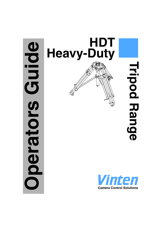# **Oping Operators Guide** perators



**Tripod RangeTripod Range** 

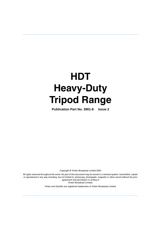# **HDT Heavy-Duty Tripod Range**

**Publication Part No. 3901-8 Issue 2**

Copyright © Vinten Broadcast Limited 2004

All rights reserved throughout the world. No part of this document may be stored in a retrieval system. transmitted, copied or reproduced in any way including, but not limited to, photocopy, photograph, magnetic or other record without the prior agreement and permission in writing of Vinten Broadcast Limited.

Vinten and Quickfix are registered trademarks of Vinten Broadcast Limited.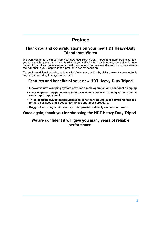# **Preface**

#### <span id="page-2-0"></span>**Thank you and congratulations on your new HDT Heavy-Duty Tripod from Vinten**

We want you to get the most from your new HDT Heavy-Duty Tripod, and therefore encourage you to read this operators guide to familiarise yourself with its many features, some of which may be new to you. It also covers essential health and safety information and a section on maintenance that will ensure you keep your new product in perfect condition.

To receive additional benefits, register with Vinten now, on line by visiting www.vinten.com/register, or by completing the registration form.

#### **Features and benefits of your new HDT Heavy-Duty Tripod**

- **Innovative new clamping system provides simple operation and confident clamping.**
- **Laser-engraved leg graduations, integral levelling bubble and folding carrying handle assist rapid deployment.**
- **Three-position swivel foot provides a spike for soft ground, a self-levelling foot pad for hard surfaces and a socket for dollies and floor spreaders.**
- **Rugged fixed -length mid-level spreader provides stability on uneven terrain.**

#### **Once again, thank you for choosing the HDT Heavy-Duty Tripod.**

#### **We are confident it will give you many years of reliable performance.**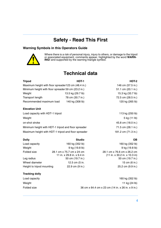# **Safety - Read This First**

#### <span id="page-3-0"></span>**Warning Symbols in this Operators Guide**



Where there is a risk of personal injury, injury to others, or damage to the tripod or associated equipment, comments appear, highlighted by the word **WARN-ING!** and supported by the warning triangle symbol.

# **Technical data**

<span id="page-3-1"></span>

| <b>Tripod</b>                                       | HDT-1             | HDT-2              |
|-----------------------------------------------------|-------------------|--------------------|
| Maximum height with floor spreader123 cm (48.4 in.) |                   | 146 cm (57.5 in.)  |
| Minimum height with floor spreader 59 cm (23.2 in.) |                   | 51.1 cm (20.1 in.) |
| Weight                                              | 13.5 kg (29.7 lb) | 15.3 kg (33.7 lb)  |
| Transport length                                    | 78 cm (30.7 in.)  | 72.5 cm (28.5 in.) |
| Recommended maximum load                            | 140 kg (308 lb)   | 120 kg (265 lb)    |
|                                                     |                   |                    |

#### **Elevation Unit**

| Load capacity with HDT-1 tripod                     | 113 kg (250 lb)     |
|-----------------------------------------------------|---------------------|
| Weight                                              | 5 kg (11 lb)        |
| on-shot stroke                                      | 45.8 cm (18.0 in.)  |
| Minimum height with HDT-1 tripod and floor spreader | 71.5 cm (28.1 in.)  |
| Maximum height with HDT-1 tripod and floor spreader | 181.2 cm (71.3 in.) |

| <b>Studio</b>              | <b>OB</b>                                              |
|----------------------------|--------------------------------------------------------|
| 160 kg (352 lb)            | 160 kg (352 lb)                                        |
| 9 kg (19.8 lb)             | 9 kg (19.8 lb)                                         |
|                            | 28.1 cm x 76.6 cm x 26.2 cm                            |
| 11 in. x 29.8 in. x 9.4 in | (11 in. x 30.2 in. x 10.3 in)                          |
| 50 cm (19.7 in.)           | 50 cm (19.7 in.)                                       |
| 12.5 cm (5 in.             | 15 cm (6 in.)                                          |
| 22.9 cm (9 in.)            | 25.2 cm (9.9 in.)                                      |
|                            | 28.1 cm x 75.7 cm x 24 cm<br>Height to tripod mounting |

#### **Tracking dolly**

| Load capacity |
|---------------|
| Weight        |
| Eolded size   |

28.1 cm x 76.6 cm x 26.2 cm  $(11 in. x 30.2 in. x 10.3 in)$ 50 cm (19.7 in.) 15 cm (6 in.) 25.2 cm (9.9 in.)

160 kg (352 lb) 11 kg (24 lb) Folded size 36 cm x 64.4 cm x 23 cm (14 in. x 26 in. x 9 in.)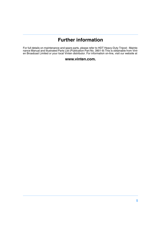# **Further information**

<span id="page-4-0"></span>For full details on maintenance and spare parts, please refer to HDT Heavy-Duty Tripod - Maintenance Manual and Illustrated Parts List (Publication Part No. 3901-9) This is obtainable from Vinten Broadcast Limited or your local Vinten distributor. For information on-line, visit our website at

#### **www.vinten.com.**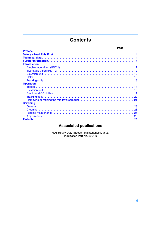# **Contents**

|                     | Page |  |
|---------------------|------|--|
|                     |      |  |
|                     |      |  |
|                     |      |  |
|                     |      |  |
| <b>Introduction</b> |      |  |
|                     |      |  |
|                     |      |  |
|                     |      |  |
|                     |      |  |
|                     |      |  |
| <b>Operation</b>    |      |  |
|                     |      |  |
|                     |      |  |
|                     |      |  |
|                     |      |  |
|                     |      |  |
| <b>Servicing</b>    |      |  |
|                     |      |  |
|                     |      |  |
|                     |      |  |
|                     |      |  |
|                     |      |  |
|                     |      |  |

# **Associated publications**

HDT Heavy-Duty Tripods - Maintenance Manual<br>Publication Part No. 3901-9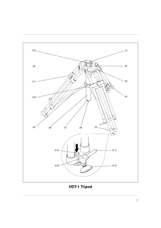<span id="page-6-16"></span><span id="page-6-10"></span><span id="page-6-9"></span><span id="page-6-8"></span><span id="page-6-7"></span><span id="page-6-6"></span><span id="page-6-1"></span>

<span id="page-6-15"></span><span id="page-6-14"></span><span id="page-6-13"></span><span id="page-6-12"></span><span id="page-6-11"></span><span id="page-6-5"></span><span id="page-6-4"></span><span id="page-6-3"></span><span id="page-6-2"></span><span id="page-6-0"></span>**HDT-1 Tripod**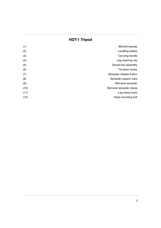# **HDT-1 Tripod**

| (1)  | Mitchell keyway          |
|------|--------------------------|
| (2)  | Levelling bubble         |
| (3)  | Carrying handle          |
| (4)  | Leg retaining clip       |
| (5)  | Swivel foot assembly     |
| (6)  | Tie-down hooks           |
| (7)  | Spreader release button  |
| (8)  | Spreader support tube    |
| (9)  | Mid-level spreader       |
| (10) | Mid-level spreader clamp |
| (11) | Leg clamp knob           |
| (12) | Head mounting bolt       |
|      |                          |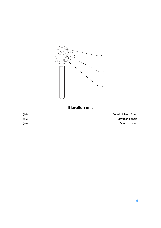

# <span id="page-8-2"></span><span id="page-8-1"></span><span id="page-8-0"></span>**Elevation unit**

| Four-bolt head fixing   | (14) |
|-------------------------|------|
| <b>Elevation handle</b> | (15) |
| On-shot clamp           | (16) |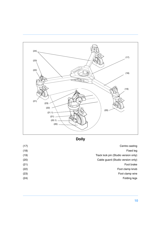<span id="page-9-4"></span><span id="page-9-2"></span>

<span id="page-9-10"></span><span id="page-9-9"></span><span id="page-9-7"></span><span id="page-9-6"></span><span id="page-9-5"></span><span id="page-9-3"></span><span id="page-9-1"></span><span id="page-9-0"></span>**Dolly**

<span id="page-9-11"></span><span id="page-9-8"></span>

| Centre casting                       | (17) |
|--------------------------------------|------|
| Fixed leg                            | (18) |
| Track lock pin (Studio version only) | (19) |
| Cable guard (Studio version only)    | (20) |
| Foot brake                           | (21) |
| Foot clamp knob                      | (22) |
| Foot clamp wire                      | (23) |
| Folding legs                         | (24) |
|                                      |      |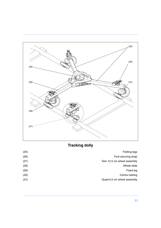<span id="page-10-2"></span><span id="page-10-1"></span><span id="page-10-0"></span>

# <span id="page-10-3"></span>**Tracking dolly**

<span id="page-10-5"></span><span id="page-10-4"></span>

| Folding legs                | (25) |
|-----------------------------|------|
| Foot securing strap         | (26) |
| Twin 12.5 cm wheel assembly | (27) |
| Wheel slide                 | (28) |
| Fixed leg                   | (29) |
| Centre casting              | (30) |
| Quad 6.2 cm wheel assembly  | (31) |
|                             |      |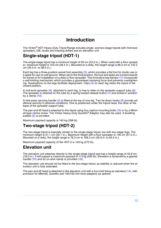# **Introduction**

<span id="page-11-0"></span>The Vinten® HDT Heavy-Duty Tripod Range includes single- and two-stage tripods with mid-level spreaders; OB, studio and tracking dollies and an elevation unit.

# <span id="page-11-1"></span>**Single-stage tripod (HDT-1)**

The single-stage tripod has a minimum height of 59 cm (23.2 in.). When used with a floor spreader, maximum height is 123 cm (48.4 in.). Mounted on a dolly, the height range is 86.2 cm to 142.2 cm (34.0 in. to 56.0 in.).

Each leg has a three-position swivel foot assembly [\(5\),](#page-6-0) which provides a flat foot for studio use or a spike for use on soft ground. When set to the third position, the foot and spike are turned inwards for transit or for installation on a dolly or floor spreader. The innovative leg clamps [\(11\)](#page-6-1) incorporate a self-limiting mechanism which provides a guaranteed clamping force and prevents overtightening. Graduations on the legs facilitate deployment. Clips [\(4\)](#page-6-2) on each leg retain the tripod in the closed position.

A mid-level spreader  $(9)$ , attached to each leg, is free to slide on the spreader support tube  $(8)$ . The spreader is retained on the tube by a spring-loaded release button [\(7\)](#page-6-5) and locked in position by a clamp [\(10\).](#page-6-6)

A fold-away carrying handle [\(3\)](#page-6-7) is fitted at the top of one leg. Two tie-down hooks [\(6\)](#page-6-8) provide additional security in adverse conditions. One is positioned under the tripod head, the other at the base of the spreader support tube.

The pan and tilt head is attached to the tripod using four captive mounting bolts [\(12\)](#page-6-9) or by a Mitchell-type centre screw. The Vinten Heavy-Duty Quickfix® Adaptor may also be used. A levelling bubble [\(2\)](#page-6-10) is provided.

Maximum payload capacity is 140 kg (308 lb).

# <span id="page-11-2"></span>**Two-stage tripod (HDT-2)**

The two-stage tripod is basically similar to the single-stage tripod, but with two-stage legs. The minimum height is 51.1 cm (20.1 in.). Maximum height with a floor spreader is 146 cm (57.5 in.). Mounted on a dolly, the height range is 78.3 cm to 166.3 cm (30.8 in. to 65.5 in.).

Maximum payload capacity of the HDT-2 is 120 kg (275 lb).

#### <span id="page-11-3"></span>**Elevation unit**

The elevation unit attaches directly to the single-stage tripod and has a height range of 45.8 cm (18.0 in.). It will support a maximum payload of 113 kg (250 lb). Elevation is achieved by a geared handle [\(15\)](#page-8-0) and an on-shot clamp is provided [\(16\).](#page-8-1)

The elevation unit should not be fitted to the two-stage tripod, as stability is reduced when the elevation unit is fully extended.

The pan and tilt head is attached to the elevation unit with a four-bolt fixing as standard [\(14\),](#page-8-2) with provision for Mitchell, Quickfix and 100/150 mm bowl adaptors as options.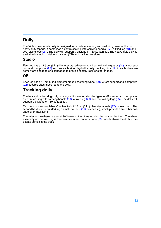# <span id="page-12-0"></span>**Dolly**

The Vinten heavy-duty dolly is designed to provide a steering and castoring base for the two heavy-duty tripods. It comprises a centre casting with carrying handle [\(17\),](#page-9-0) a fixed leg [\(18\)](#page-9-1) and two folding legs [\(24\)](#page-9-2). The dolly will support a payload of 160 kg (325 lb). The heavy-duty dolly is available in studio, outside broadcast (OB) and tracking versions.

#### **Studio**

Each leg has a 12.5 cm (5 in.) diameter braked castoring wheel with cable guards [\(20\).](#page-9-3) A foot sup-port and clamp wire [\(22\)](#page-9-4) secures each tripod leg to the dolly. Locking pins [\(19\)](#page-9-5) in each wheel assembly are engaged or disengaged to provide castor, track or steer modes.

#### **OB**

Each leg has a 15 cm (6 in.) diameter braked castoring wheel [\(20\)](#page-9-6). A foot support and clamp wire [\(22\)](#page-9-7) secures each tripod leg to the dolly.

# <span id="page-12-1"></span>**Tracking dolly**

The heavy-duty tracking dolly is designed for use on standard gauge (62 cm) track. It comprises a centre casting with carrying handle [\(30\),](#page-10-0) a fixed leg [\(29\)](#page-10-1) and two folding legs [\(25\).](#page-10-2) The dolly will support a payload of 160 kg (325 lb).

Two versions are available. One has twin 12.5 cm (5 in.) diameter wheels [\(27\)](#page-10-3) on each leg. The second has four 6.2 cm (2.4 in.) diameter wheels [\(31\)](#page-10-4) on each leg, which provide a smoother passage over track joints.

The axles of the wheels are set at 90° to each other, thus locating the dolly on the track. The wheel assembly on the fixed leg is free to move in and out on a slide  $(28)$ , which allows the dolly to negotiate curves in the track.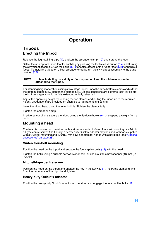# **Operation**

## <span id="page-13-1"></span><span id="page-13-0"></span>**Tripods Erecting the tripod**

Release the leg retaining clips [\(4\)](#page-6-2), slacken the spreader clamp [\(10\)](#page-6-6) and spread the legs.

Select the appropriate tripod foot for each leg by pressing the foot release button [\(5.4\)](#page-6-11) and turning the swivel foot assembly. Use the spike  $(5.1)$  for soft surfaces or the rubber foot  $(5.2)$  for hard surfaces. To install the tripod on a floor spreader or dolly, turn the swivel foot assembly to the transit position [\(5.3\).](#page-6-14)

#### **NOTE: Unless installing on a dolly or floor spreader, keep the mid-level spreader attached to the tripod.**

For standing height operations using a two-stage tripod, undo the three bottom clamps and extend the bottom stages fully. Tighten the clamps fully. Unless conditions are extreme (split levels etc) the bottom stages should be fully extended or fully retracted.

Adjust the operating height by undoing the top clamps and pulling the tripod up to the required height. Graduations are provided on each leg to facilitate height setting.

Level the tripod head using the level bubble. Tighten the clamps fully.

Tighten the spreader clamp.

In adverse conditions secure the tripod using the tie-down hooks  $(6)$ , or suspend a weight from a hook.

#### **Mounting a head**

The head is mounted on the tripod with a either a standard Vinten four-bolt mounting or a Mitchell-type centre screw. Additionally, a heavy-duty Quickfix adaptor may be used for heads supplied with a Quickfix mounting and 100/150 mm bowl adaptors for heads with a ball base (see ["Optional](#page-27-1)  [accessories" on page 28\)](#page-27-1).

#### **Vinten four-bolt mounting**

Position the head on the tripod and engage the four captive bolts [\(12\)](#page-6-9) with the head.

Tighten the bolts using a suitable screwdriver or coin, or use a suitable box spanner (16 mm (5/8  $in.\overline{)}$  AF).

#### **Mitchell-type centre screw**

Position the head on the tripod and engage the key in the keyway [\(1\)](#page-6-16). Insert the clamping ring from the underside of the tripod and tighten.

#### **Heavy-duty Quickfix adaptor**

Position the heavy-duty Quickfix adaptor on the tripod and engage the four captive bolts [\(12\)](#page-6-9).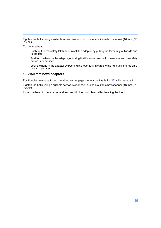Tighten the bolts using a suitable screwdriver or coin, or use a suitable box spanner (16 mm (5/8  $in$ .) AF).

To mount a head:

Push up the red safety latch and unlock the adaptor by pulling the lever fully outwards and to the left.

Position the head in the adaptor, ensuring that it seats correctly in the recess and the safety button is depressed.

Lock the head in the adaptor by pushing the lever fully inwards to the right until the red safety latch operates.

#### **100/150 mm bowl adaptors**

Position the bowl adaptor on the tripod and engage the four captive bolts [\(12\)](#page-6-9) with the adaptor.

Tighten the bolts using a suitable screwdriver or coin, or use a suitable box spanner (16 mm (5/8  $in$ .) AF).

Install the head in the adaptor and secure with the bowl clamp after levelling the head.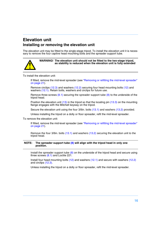# <span id="page-15-0"></span>**Elevation unit Installing or removing the elevation unit**

The elevation unit may be fitted to the single-stage tripod. To install the elevation unit it is necessary to remove the four captive head mounting bolts and the spreader support tube.



**WARNING! The elevation unit should not be fitted to the two-stage tripod, as stability is reduced when the elevation unit is fully extended**

To install the elevation unit:

If fitted, remove the mid-level spreader (see ["Removing or refitting the mid-level spreader"](#page-20-0)  [on page 21](#page-20-0)).

Remove circlips [\(12.3\)](#page-16-0) and washers [\(12.2\)](#page-16-1) securing four head mounting bolts [\(12\)](#page-16-2) and washers [\(12.1\)](#page-16-3). Retain bolts, washers and circlips for future use.

Remove three screws  $(8.1)$  securing the spreader support tube  $(8)$  to the underside of the tripod head.

Position the elevation unit [\(13\)](#page-16-6) in the tripod so that the locating pin [\(13.3\)](#page-16-7) on the mounting flange engages with the Mitchell keyway on the tripod.

Secure the elevation unit using the four 3/8in. bolts [\(13.1\)](#page-16-8) and washers [\(13.2\)](#page-16-9) provided.

Unless installing the tripod on a dolly or floor spreader, refit the mid-level spreader.

To remove the elevation unit:

If fitted, remove the mid-level spreader (see ["Removing or refitting the mid-level spreader"](#page-20-0)  [on page 21](#page-20-0)).

Remove the four 3/8in. bolts [\(13.1\)](#page-16-8) and washers [\(13.2\)](#page-16-9) securing the elevation unit to the tripod head.

#### **NOTE: The spreader support tube [\(8\)](#page-16-5) will align with the tripod head in only one position.**

Install the spreader support tube  $(8)$  on the underside of the tripod head and secure using three screws  $(8.1)$  and Loctite 221.

Install four head mounting bolts [\(12\)](#page-16-2) and washers [\(12.1\)](#page-16-3) and secure with washers [\(12.2\)](#page-16-1) and circlips [\(12.3\)](#page-16-0).

Unless installing the tripod on a dolly or floor spreader, refit the mid-level spreader.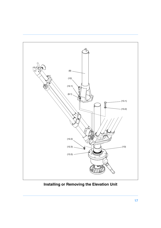<span id="page-16-5"></span><span id="page-16-4"></span><span id="page-16-3"></span><span id="page-16-2"></span>

<span id="page-16-9"></span><span id="page-16-8"></span><span id="page-16-7"></span><span id="page-16-6"></span><span id="page-16-1"></span><span id="page-16-0"></span>**Installing or Removing the Elevation Unit**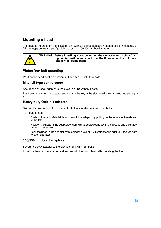#### **Mounting a head**

The head is mounted on the elevation unit with a either a standard Vinten four-bolt mounting, a Mitchell-type centre screw, Quickfix adaptor or 100/150mm bowl adaptor.

**WARNING! Before installing a component on the elevation unit, hold a fixing bolt in position and check that the threaded end is not overlong for that component.**

#### **Vinten four-bolt mounting**

Position the head on the elevation unit and secure with four bolts.

#### **Mitchell-type centre screw**

Secure the Mitchell adaptor to the elevation unit with four bolts.

Position the head on the adaptor and engage the key in the slot. Install the clamping ring and tighten.

#### **Heavy-duty Quickfix adaptor**

Secure the heavy-duty Quickfix adaptor to the elevation unit with four bolts.

To mount a head:

Push up the red safety latch and unlock the adaptor by pulling the lever fully outwards and to the left.

Position the head in the adaptor, ensuring that it seats correctly in the recess and the safety button is depressed.

Lock the head in the adaptor by pushing the lever fully inwards to the right until the red safety latch operates.

#### **100/150 mm bowl adaptors**

Secure the bowl adaptor to the elevation unit with four bolts.

Install the head in the adaptor and secure with the bowl clamp after levelling the head.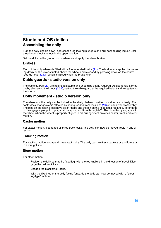# <span id="page-18-0"></span>**Studio and OB dollies Assembling the dolly**

Turn the dolly upside-down, depress the leg locking plungers and pull each folding leg out until the plungers lock the legs in the open position.

Set the dolly on the ground on its wheels and apply the wheel brakes.

#### **Brakes**

Each of the dolly wheels is fitted with a foot operated brake [\(21\).](#page-9-8) The brakes are applied by pressing down on the lever situated above the wheel and released by pressing down on the centre `pop-up' lever [\(21.1\)](#page-9-9) which is raised when the brake is on.

#### **Cable guards - studio version only**

The cable guards [\(20\)](#page-9-6) are height adjustable and should be set as required. Adjustment is carried out by slackening the knobs  $(20.1)$ , setting the cable guard at the required height and re-tightening the knobs.

#### **Dolly movement - studio version only**

The wheels on the dolly can be locked in the straight-ahead position or set to castor freely. The castor/lock changeover is effected by spring-loaded track lock pins [\(19\)](#page-9-5) on each wheel assembly. The pins on the folding legs have black knobs and the pin on the fixed leg a red knob. To engage or disengage a pin, pull it up against the spring and turn through 90°. The pin will only engage with the wheel when the wheel is properly aligned. This arrangement provides castor, track and steer motion.

#### **Castor motion**

For castor motion, disengage all three track locks. The dolly can now be moved freely in any direction.

#### **Tracking motion**

For tracking motion, engage all three track locks. The dolly can now track backwards and forwards in a straight line.

#### **Steer motion**

For steer motion:

Position the dolly so that the fixed leg (with the red knob) is in the direction of travel. Disengage the red track lock.

Engage the black track locks.

With the fixed leg of the dolly facing forwards the dolly can now be moved with a `steering-type' motion.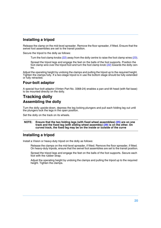#### **Installing a tripod**

Release the clamp on the mid-level spreader. Remove the floor spreader, if fitted. Ensure that the swivel foot assemblies are set to the transit position.

Secure the tripod to the dolly as follows:

Turn the foot clamp knobs [\(22\)](#page-9-7) away from the dolly centre to raise the foot clamp wires [\(23\)](#page-9-11).

Spread the tripod legs and engage the feet on the balls of the foot supports. Position the foot clamp wire over the tripod foot and turn the foot clamp knob [\(22\)](#page-9-7) towards the dolly centre.

Adjust the operating height by undoing the clamps and pulling the tripod up to the required height. Tighten the clamps fully. If a two-stage tripod is in use the bottom stage should be fully extended or fully retracted.

#### **Four-bolt adaptor**

A special four-bolt adaptor (Vinten Part No. 3368-24) enables a pan and tilt head (with flat base) to be mounted directly on the dolly.

# <span id="page-19-0"></span>**Tracking dolly Assembling the dolly**

Turn the dolly upside-down, depress the leg locking plungers and pull each folding leg out until the plungers lock the legs in the open position.

Set the dolly on the track on its wheels.

**NOTE: Ensure that the two folding legs (with fixed wheel assemblies) [\(25\)](#page-10-2) are on one track and the fixed leg (with sliding wheel assembly) [\(29\)](#page-10-1) is on the other. On curved track, the fixed leg may be on the inside or outside of the curve**

#### **Installing a tripod**

Install a Vision or heavy-duty tripod on the dolly as follows:

Release the clamps on the mid-level spreader, if fitted. Remove the floor spreader, if fitted. On heavy-duty tripods, ensure that the swivel foot assemblies are set to the transit position.

Spread the tripod legs and engage the feet on the balls of the foot supports. Secure each foot with the rubber strap.

Adjust the operating height by undoing the clamps and pulling the tripod up to the required height. Tighten the clamps.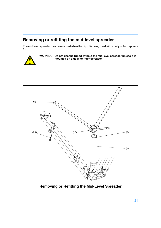# <span id="page-20-0"></span>**Removing or refitting the mid-level spreader**

The mid-level spreader may be removed when the tripod is being used with a dolly or floor spreader.



<span id="page-20-4"></span>

<span id="page-20-3"></span><span id="page-20-2"></span><span id="page-20-1"></span>**Removing or Refitting the Mid-Level Spreader**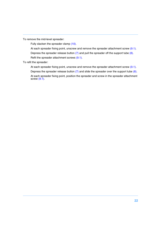To remove the mid-level spreader:

Fully slacken the spreader clamp [\(10\).](#page-20-1)

At each spreader fixing point, unscrew and remove the spreader attachment screw [\(9.1\).](#page-20-4)

Depress the spreader release button  $(7)$  and pull the spreader off the support tube  $(8)$ .

Refit the spreader attachment screws [\(9.1\)](#page-20-4).

To refit the spreader:

At each spreader fixing point, unscrew and remove the spreader attachment screw [\(9.1\).](#page-20-4) Depress the spreader release button  $(7)$  and slide the spreader over the support tube  $(8)$ . At each spreader fixing point, position the spreader and screw in the spreader attachment screw  $(9.1)$ .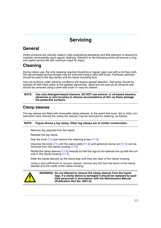# **Servicing**

# <span id="page-22-1"></span><span id="page-22-0"></span>**General**

Vinten products are robustly made to high engineering standards and little attention is required to maintain serviceability save regular cleaning. Attention to the following points will ensure a long and useful service life with minimum need for repair.

# <span id="page-22-2"></span>**Cleaning**

During indoor use, the only cleaning required should be a regular wipe over with a lint-free cloth. Dirt accumulated during storage may be removed using a semi-stiff brush. Particular attention should be paid to the leg clamps and the tripod mounting face.

Use out-of-doors under adverse conditions will require special attention. Salt spray should be washed off with fresh water at the earliest opportunity. Sand and dirt acts as an abrasive and should be removed using a semi-stiff brush or vacuum cleaner.

#### **NOTE: Use only detergent-based cleaners. DO NOT use solvent- or oil-based cleaners, abrasives or wire brushes to remove accumulations of dirt, as these damage the protective surfaces.**

#### **Clamp sleeves**

The leg clamps are fitted with removable clamp sleeves. In the event that sand, dirt or other contaminants have entered the clamp the sleeves may be removed for cleaning, as follows.

#### **NOTE: Figure shows a top clamp. Other leg clamps are of similar construction.**

Remove any payload from the tripod.

Release the leg clamp.

Grip the knob [\(11\)](#page-23-2) and remove the retaining screw [\(11.3\).](#page-23-0)

Unscrew the knob  $(11)$  until the clamp plate  $(11.2)$  and spherical clamp nut  $(11.4)$  can be removed from the clamp housing [\(11.5\).](#page-23-4)

Rotate the clamp sleeves [\(11.6\)](#page-23-5) inwards so that the lugs on the sleeves line up with the cutouts in the clamp housing [\(11.5\)](#page-23-4).

Slide the clamp sleeves up the tripod legs until they are clear of the clamp housing.

Using a semi-stiff brush or vacuum cleaner, remove any dirt from the faces of the clamp sleeves and the inside of the clamp housing.



**WARNING! Do not attempt to remove the clamp sleeves from the tripod legs. If a clamp sleeve is damaged it should be replaced by qualified personnel in accordance with the Maintenance Manual (Publication Part No. 3901-9).**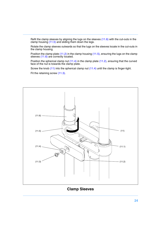Refit the clamp sleeves by aligning the lugs on the sleeves [\(11.6\)](#page-23-5) with the cut-outs in the clamp housing  $(11.5)$  and sliding them down the legs.

Rotate the clamp sleeves outwards so that the lugs on the sleeves locate in the cut-outs in the clamp housing.

Position the clamp plate [\(11.2\)](#page-23-1) in the clamp housing [\(11.5\)](#page-23-4), ensuring the lugs on the clamp sleeves [\(11.6\)](#page-23-5) are correctly located.

Position the spherical clamp nut [\(11.4\)](#page-23-3) in the clamp plate [\(11.2\)](#page-23-1), ensuring that the curved face of the nut is towards the clamp plate.

Screw the knob [\(11\)](#page-23-2) into the spherical clamp nut [\(11.4\)](#page-23-3) until the clamp is finger-tight.

Fit the retaining screw [\(11.3\).](#page-23-0)

<span id="page-23-5"></span><span id="page-23-4"></span>

<span id="page-23-3"></span><span id="page-23-2"></span><span id="page-23-1"></span><span id="page-23-0"></span>**Clamp Sleeves**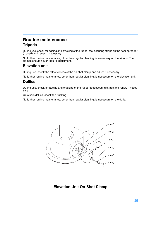# <span id="page-24-0"></span>**Routine maintenance Tripods**

During use, check for ageing and cracking of the rubber foot securing straps on the floor spreader (if used) and renew if necessary.

No further routine maintenance, other than regular cleaning, is necessary on the tripods. The clamps should never require adjustment.

#### **Elevation unit**

During use, check the effectiveness of the on-shot clamp and adjust if necessary.

No further routine maintenance, other than regular cleaning, is necessary on the elevation unit.

#### **Dollies**

During use, check for ageing and cracking of the rubber foot securing straps and renew if necessary.

On studio dollies, check the tracking.

No further routine maintenance, other than regular cleaning, is necessary on the dolly.



#### <span id="page-24-6"></span><span id="page-24-5"></span><span id="page-24-4"></span><span id="page-24-3"></span><span id="page-24-2"></span><span id="page-24-1"></span>**Elevation Unit On-Shot Clamp**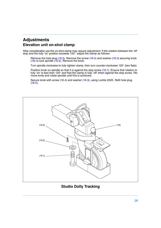# <span id="page-25-0"></span>**Adjustments Elevation unit on-shot clamp**

After considerable use the on-shot clamp may require adjustment. If the rotation between the 'off' stop and the fully 'on' position exceeds 120°, adjust the clamp as follows:

Remove the hole plug [\(16.5\)](#page-24-1). Remove the screw [\(16.4\)](#page-24-2) and washer [\(16.3\)](#page-24-3) securing knob  $(16)$  to lock spindle  $(16.2)$ . Remove the knob.

Turn spindle clockwise to fully tighten clamp, then turn counter-clockwise 120° (two flats).

Position knob on spindle so that it is against the stop screw [\(16.1\)](#page-24-6). Ensure that rotation to fully 'on' is less than 120° and that the clamp is fully 'off' when against the stop screw. Remove knob and rotate spindle until this is achieved.

Secure knob with screw [\(16.4\)](#page-24-2) and washer [\(16.3\)](#page-24-3), using Loctite 222E. Refit hole plug  $(16.5)$ 

<span id="page-25-3"></span><span id="page-25-1"></span>

<span id="page-25-4"></span><span id="page-25-2"></span>**Studio Dolly Tracking**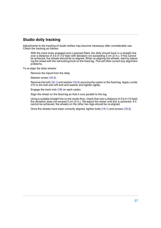#### **Studio dolly tracking**

Adjustments to the tracking of studio dollies may become necessary after considerable use. Check the tracking as follows:

With the track locks engaged and a payload fitted, the dolly should track in a straight line over a distance of 3.6 m (12 feet) with deviation not exceeding 5 cm (2 in.). If this cannot be achieved, the wheels should be re-aligned. When re-aligning the wheels, start by adjusting the wheel with the red locking knob on the fixed leg. This will often correct any alignment problems.

To re-align the dolly wheels:

Remove the tripod from the dolly.

Slacken screw [\(19.3\).](#page-25-1)

Remove the bolt [\(19.1\)](#page-25-2) and washer [\(19.2\)](#page-25-3) securing the castor to the fixed leg. Apply Loctite 270 to the bolt and refit bolt and washer and tighten lightly.

Engage the track lock [\(19\)](#page-25-4) on each castor.

Align the wheel on the fixed leg so that it runs parallel to the leg.

Using a suitable straight line on the studio floor, check that over a distance of 3.6 m (12 feet) the deviation does not exceed 5 cm (2 in.). Re-adjust the wheel until this is achieved. If it cannot be achieved, the wheels on the other two legs should be re-aligned.

Once the wheels have been correctly aligned, tighten bolts [\(19.1\)](#page-25-2) and screws [\(19.3\)](#page-25-1).